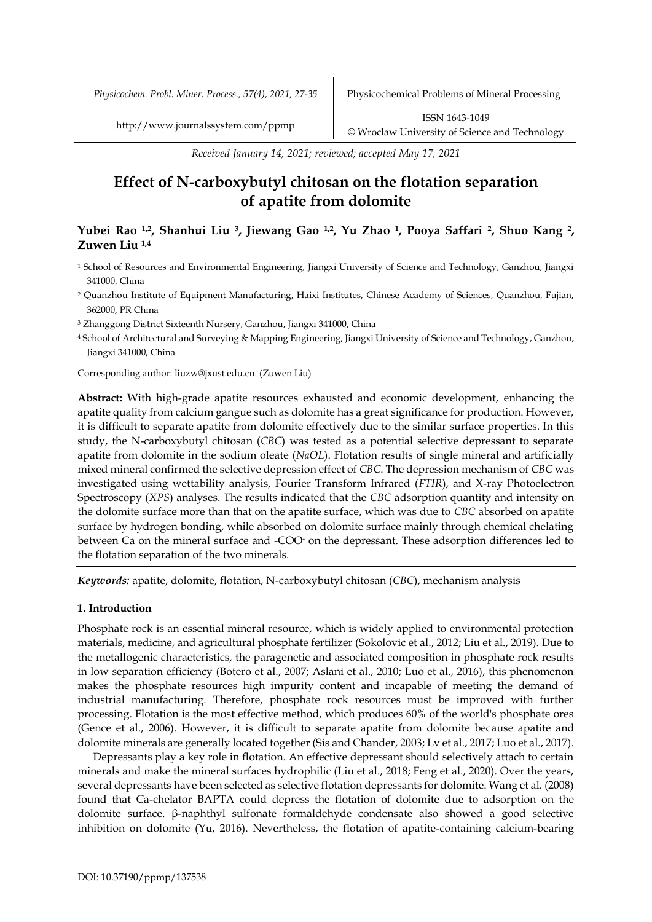*Received January 14, 2021; reviewed; accepted May 17, 2021*

# **Effect of N-carboxybutyl chitosan on the flotation separation of apatite from dolomite**

# **Yubei Rao 1,2, Shanhui Liu <sup>3</sup>, Jiewang Gao 1,2, Yu Zhao <sup>1</sup>, Pooya Saffari <sup>2</sup>, Shuo Kang <sup>2</sup>, Zuwen Liu 1,4**

- <sup>1</sup> School of Resources and Environmental Engineering, Jiangxi University of Science and Technology, Ganzhou, Jiangxi 341000, China
- <sup>2</sup> Quanzhou Institute of Equipment Manufacturing, Haixi Institutes, Chinese Academy of Sciences, Quanzhou, Fujian, 362000, PR China

<sup>3</sup> Zhanggong District Sixteenth Nursery, Ganzhou, Jiangxi 341000, China

<sup>4</sup> School of Architectural and Surveying & Mapping Engineering, Jiangxi University of Science and Technology, Ganzhou, Jiangxi 341000, China

Corresponding author: liuzw@jxust.edu.cn. (Zuwen Liu)

**Abstract:** With high-grade apatite resources exhausted and economic development, enhancing the apatite quality from calcium gangue such as dolomite has a great significance for production. However, it is difficult to separate apatite from dolomite effectively due to the similar surface properties. In this study, the N-carboxybutyl chitosan (*CBC*) was tested as a potential selective depressant to separate apatite from dolomite in the sodium oleate (*NaOL*). Flotation results of single mineral and artificially mixed mineral confirmed the selective depression effect of *CBC*. The depression mechanism of *CBC* was investigated using wettability analysis, Fourier Transform Infrared (*FTIR*), and X-ray Photoelectron Spectroscopy (*XPS*) analyses. The results indicated that the *CBC* adsorption quantity and intensity on the dolomite surface more than that on the apatite surface, which was due to *CBC* absorbed on apatite surface by hydrogen bonding, while absorbed on dolomite surface mainly through chemical chelating between Ca on the mineral surface and -COO- on the depressant. These adsorption differences led to the flotation separation of the two minerals.

*Keywords:* apatite, dolomite, flotation, N-carboxybutyl chitosan (*CBC*), mechanism analysis

## **1. Introduction**

Phosphate rock is an essential mineral resource, which is widely applied to environmental protection materials, medicine, and agricultural phosphate fertilizer (Sokolovic et al., 2012; Liu et al., 2019). Due to the metallogenic characteristics, the paragenetic and associated composition in phosphate rock results in low separation efficiency (Botero et al., 2007; Aslani et al., 2010; Luo et al., 2016), this phenomenon makes the phosphate resources high impurity content and incapable of meeting the demand of industrial manufacturing. Therefore, phosphate rock resources must be improved with further processing. Flotation is the most effective method, which produces 60% of the world's phosphate ores (Gence et al., 2006). However, it is difficult to separate apatite from dolomite because apatite and dolomite minerals are generally located together (Sis and Chander, 2003; Lv et al., 2017; Luo et al., 2017).

Depressants play a key role in flotation. An effective depressant should selectively attach to certain minerals and make the mineral surfaces hydrophilic (Liu et al., 2018; Feng et al., 2020). Over the years, several depressants have been selected as selective flotation depressants for dolomite. Wang et al. (2008) found that Ca-chelator BAPTA could depress the flotation of dolomite due to adsorption on the dolomite surface. β-naphthyl sulfonate formaldehyde condensate also showed a good selective inhibition on dolomite (Yu, 2016). Nevertheless, the flotation of apatite-containing calcium-bearing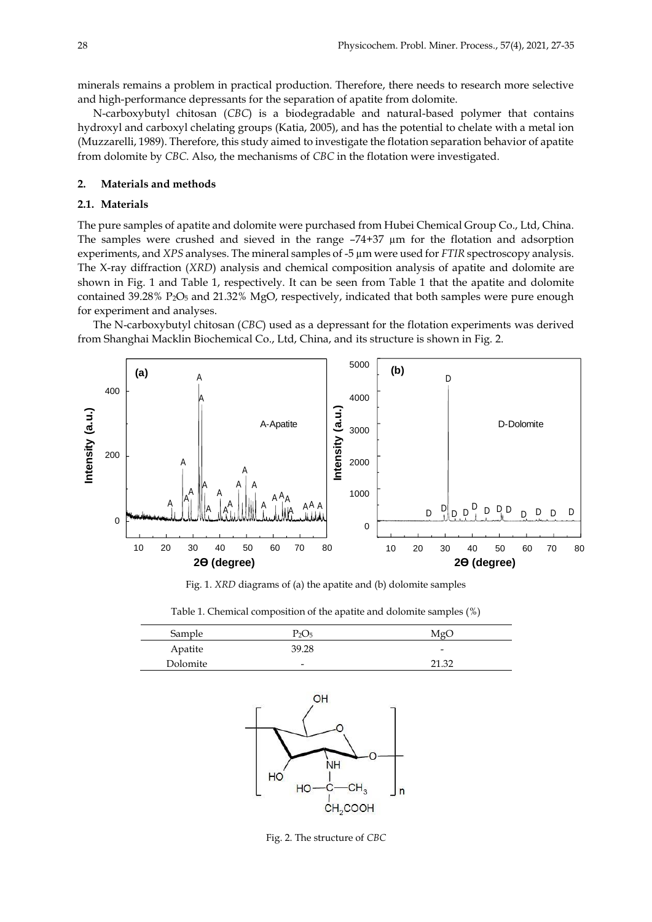minerals remains a problem in practical production. Therefore, there needs to research more selective and high-performance depressants for the separation of apatite from dolomite.

N-carboxybutyl chitosan (*CBC*) is a biodegradable and natural-based polymer that contains hydroxyl and carboxyl chelating groups (Katia, 2005), and has the potential to chelate with a metal ion (Muzzarelli, 1989). Therefore, this study aimed to investigate the flotation separation behavior of apatite from dolomite by *CBC*. Also, the mechanisms of *CBC* in the flotation were investigated.

#### **2. Materials and methods**

#### **2.1. Materials**

The pure samples of apatite and dolomite were purchased from Hubei Chemical Group Co., Ltd, China. The samples were crushed and sieved in the range –74+37 µm for the flotation and adsorption experiments, and *XPS* analyses. The mineral samples of -5 µm were used for *FTIR* spectroscopy analysis. The X-ray diffraction (*XRD*) analysis and chemical composition analysis of apatite and dolomite are shown in Fig. 1 and Table 1, respectively. It can be seen from Table 1 that the apatite and dolomite contained 39.28% P<sub>2</sub>O<sub>5</sub> and 21.32% MgO, respectively, indicated that both samples were pure enough for experiment and analyses.

The N-carboxybutyl chitosan (*CBC*) used as a depressant for the flotation experiments was derived from Shanghai Macklin Biochemical Co., Ltd, China, and its structure is shown in Fig. 2.



Fig. 1. *XRD* diagrams of (a) the apatite and (b) dolomite samples

| Table 1. Chemical composition of the apatite and dolomite samples (%) |
|-----------------------------------------------------------------------|
|-----------------------------------------------------------------------|

| Sample   | P2O5                     | MgC                      |
|----------|--------------------------|--------------------------|
| Apatite  | 39.28                    | $\overline{\phantom{0}}$ |
| Dolomite | $\overline{\phantom{0}}$ | วา วว                    |



Fig. 2. The structure of *CBC*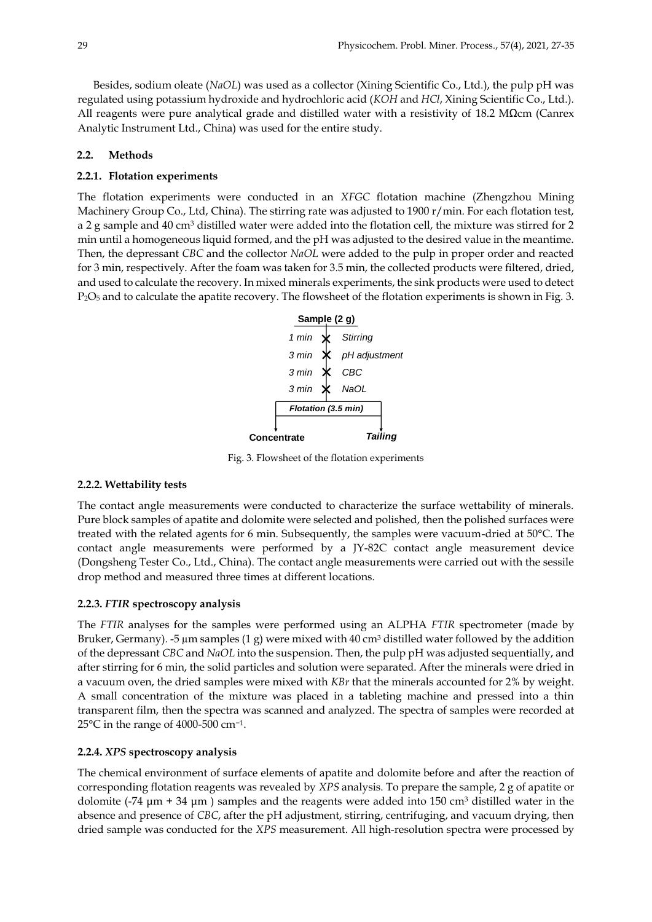Besides, sodium oleate (*NaOL*) was used as a collector (Xining Scientific Co., Ltd.), the pulp pH was regulated using potassium hydroxide and hydrochloric acid (*KOH* and *HCl*, Xining Scientific Co., Ltd.). All reagents were pure analytical grade and distilled water with a resistivity of 18.2 MΩcm (Canrex Analytic Instrument Ltd., China) was used for the entire study.

## **2.2. Methods**

## **2.2.1. Flotation experiments**

The flotation experiments were conducted in an *XFGC* flotation machine (Zhengzhou Mining Machinery Group Co., Ltd, China). The stirring rate was adjusted to 1900 r/min. For each flotation test, a 2 g sample and 40 cm<sup>3</sup> distilled water were added into the flotation cell, the mixture was stirred for 2 min until a homogeneous liquid formed, and the pH was adjusted to the desired value in the meantime. Then, the depressant *CBC* and the collector *NaOL* were added to the pulp in proper order and reacted for 3 min, respectively. After the foam was taken for 3.5 min, the collected products were filtered, dried, and used to calculate the recovery. In mixed minerals experiments, the sink products were used to detect P<sub>2</sub>O<sub>5</sub> and to calculate the apatite recovery. The flowsheet of the flotation experiments is shown in Fig. 3.



Fig. 3. Flowsheet of the flotation experiments

## **2.2.2. Wettability tests**

The contact angle measurements were conducted to characterize the surface wettability of minerals. Pure block samples of apatite and dolomite were selected and polished, then the polished surfaces were treated with the related agents for 6 min. Subsequently, the samples were vacuum-dried at 50°C. The contact angle measurements were performed by a JY-82C contact angle measurement device (Dongsheng Tester Co., Ltd., China). The contact angle measurements were carried out with the sessile drop method and measured three times at different locations.

## **2.2.3.** *FTIR* **spectroscopy analysis**

The *FTIR* analyses for the samples were performed using an ALPHA *FTIR* spectrometer (made by Bruker, Germany). -5 µm samples (1 g) were mixed with 40 cm<sup>3</sup> distilled water followed by the addition of the depressant *CBC* and *NaOL* into the suspension. Then, the pulp pH was adjusted sequentially, and after stirring for 6 min, the solid particles and solution were separated. After the minerals were dried in a vacuum oven, the dried samples were mixed with *KBr* that the minerals accounted for 2% by weight. A small concentration of the mixture was placed in a tableting machine and pressed into a thin transparent film, then the spectra was scanned and analyzed. The spectra of samples were recorded at 25°C in the range of 4000-500 cm*<sup>−</sup>*<sup>1</sup> .

## **2.2.4.** *XPS* **spectroscopy analysis**

The chemical environment of surface elements of apatite and dolomite before and after the reaction of corresponding flotation reagents was revealed by *XPS* analysis. To prepare the sample, 2 g of apatite or dolomite (-74  $\mu$ m + 34  $\mu$ m) samples and the reagents were added into 150 cm<sup>3</sup> distilled water in the absence and presence of *CBC*, after the pH adjustment, stirring, centrifuging, and vacuum drying, then dried sample was conducted for the *XPS* measurement. All high-resolution spectra were processed by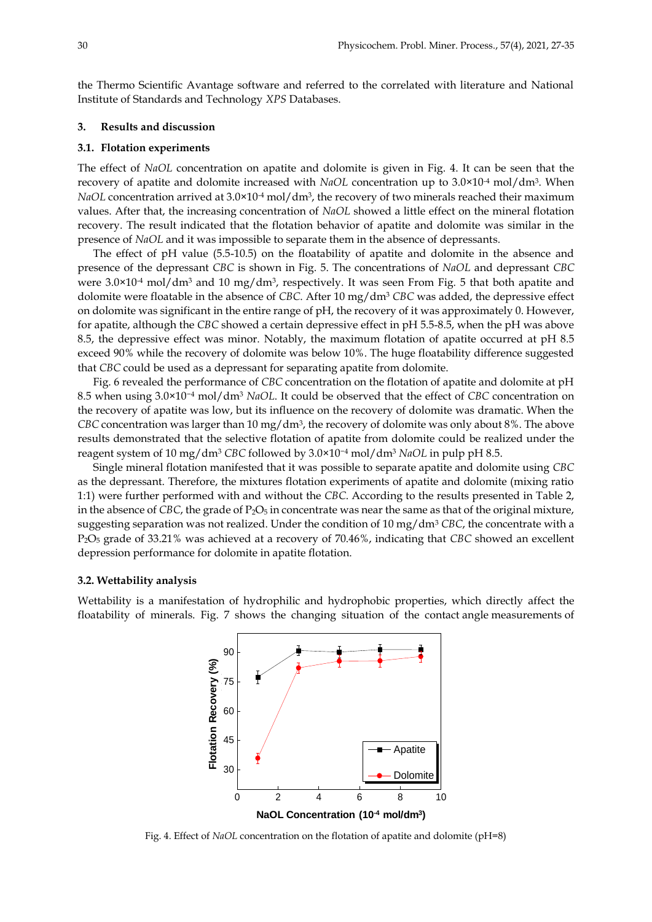the Thermo Scientific Avantage software and referred to the correlated with literature and National Institute of Standards and Technology *XPS* Databases.

#### **3. Results and discussion**

#### **3.1. Flotation experiments**

The effect of *NaOL* concentration on apatite and dolomite is given in Fig. 4. It can be seen that the recovery of apatite and dolomite increased with *NaOL* concentration up to 3.0×10<sup>-4</sup> mol/dm<sup>3</sup>. When *NaOL* concentration arrived at 3.0×10<sup>.4</sup> mol/dm<sup>3</sup>, the recovery of two minerals reached their maximum values. After that, the increasing concentration of *NaOL* showed a little effect on the mineral flotation recovery. The result indicated that the flotation behavior of apatite and dolomite was similar in the presence of *NaOL* and it was impossible to separate them in the absence of depressants.

The effect of pH value (5.5-10.5) on the floatability of apatite and dolomite in the absence and presence of the depressant *CBC* is shown in Fig. 5. The concentrations of *NaOL* and depressant *CBC* were 3.0×10<sup>-4</sup> mol/dm<sup>3</sup> and 10 mg/dm<sup>3</sup>, respectively. It was seen From Fig. 5 that both apatite and dolomite were floatable in the absence of *CBC*. After 10 mg/dm<sup>3</sup> *CBC* was added, the depressive effect on dolomite was significant in the entire range of pH, the recovery of it was approximately 0. However, for apatite, although the *CBC* showed a certain depressive effect in pH 5.5-8.5, when the pH was above 8.5, the depressive effect was minor. Notably, the maximum flotation of apatite occurred at pH 8.5 exceed 90% while the recovery of dolomite was below 10%. The huge floatability difference suggested that *CBC* could be used as a depressant for separating apatite from dolomite.

Fig. 6 revealed the performance of *CBC* concentration on the flotation of apatite and dolomite at pH 8.5 when using 3.0×10−<sup>4</sup> mol/dm<sup>3</sup> *NaOL*. It could be observed that the effect of *CBC* concentration on the recovery of apatite was low, but its influence on the recovery of dolomite was dramatic. When the *CBC* concentration was larger than 10 mg/dm<sup>3</sup>, the recovery of dolomite was only about 8%. The above results demonstrated that the selective flotation of apatite from dolomite could be realized under the reagent system of 10 mg/dm<sup>3</sup> *CBC* followed by 3.0×10−<sup>4</sup> mol/dm<sup>3</sup> *NaOL* in pulp pH 8.5.

Single mineral flotation manifested that it was possible to separate apatite and dolomite using *CBC* as the depressant. Therefore, the mixtures flotation experiments of apatite and dolomite (mixing ratio 1:1) were further performed with and without the *CBC*. According to the results presented in Table 2, in the absence of *CBC*, the grade of  $P_2O_5$  in concentrate was near the same as that of the original mixture, suggesting separation was not realized. Under the condition of 10 mg/dm<sup>3</sup> *CBC*, the concentrate with a P2O<sup>5</sup> grade of 33.21% was achieved at a recovery of 70.46%, indicating that *CBC* showed an excellent depression performance for dolomite in apatite flotation.

#### **3.2. Wettability analysis**

Wettability is a manifestation of hydrophilic and hydrophobic properties, which directly affect the floatability of minerals. Fig. 7 shows the changing situation of the contact angle measurements of



Fig. 4. Effect of *NaOL* concentration on the flotation of apatite and dolomite (pH=8)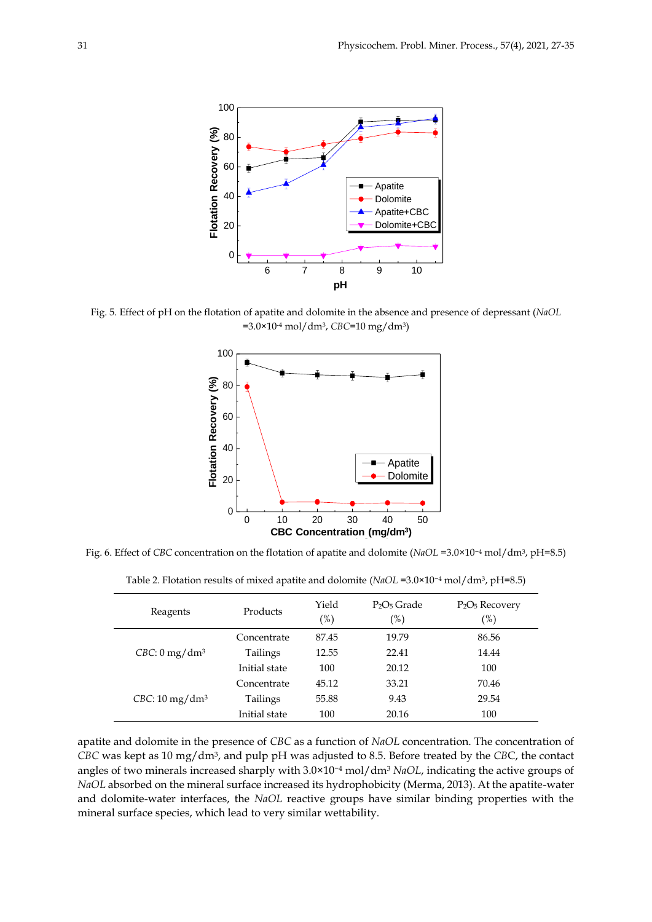

Fig. 5. Effect of pH on the flotation of apatite and dolomite in the absence and presence of depressant (*NaOL* =3.0×10-4 mol/dm3, *CBC*=10 mg/dm3)



Fig. 6. Effect of *CBC* concentration on the flotation of apatite and dolomite (*NaOL* =3.0×10−<sup>4</sup> mol/dm3, pH=8.5)

| Reagents                    | Products      | Yield<br>(%) | $P_2O_5$ Grade<br>(%) | $P_2O_5$ Recovery<br>(%) |
|-----------------------------|---------------|--------------|-----------------------|--------------------------|
| $CBC: 0$ mg/dm <sup>3</sup> | Concentrate   | 87.45        | 19.79                 | 86.56                    |
|                             | Tailings      | 12.55        | 22.41                 | 14.44                    |
|                             | Initial state | 100          | 20.12                 | 100                      |
| $CBC: 10 \text{ mg/dm}^3$   | Concentrate   | 45.12        | 33.21                 | 70.46                    |
|                             | Tailings      | 55.88        | 9.43                  | 29.54                    |
|                             | Initial state | 100          | 20.16                 | 100                      |

Table 2. Flotation results of mixed apatite and dolomite (*NaOL* =3.0×10−<sup>4</sup> mol/dm3, pH=8.5)

apatite and dolomite in the presence of *CBC* as a function of *NaOL* concentration. The concentration of *CBC* was kept as 10 mg/dm<sup>3</sup> , and pulp pH was adjusted to 8.5. Before treated by the *CB*C, the contact angles of two minerals increased sharply with 3.0×10−<sup>4</sup> mol/dm<sup>3</sup> *NaOL*, indicating the active groups of *NaOL* absorbed on the mineral surface increased its hydrophobicity (Merma, 2013). At the apatite-water and dolomite-water interfaces, the *NaOL* reactive groups have similar binding properties with the mineral surface species, which lead to very similar wettability.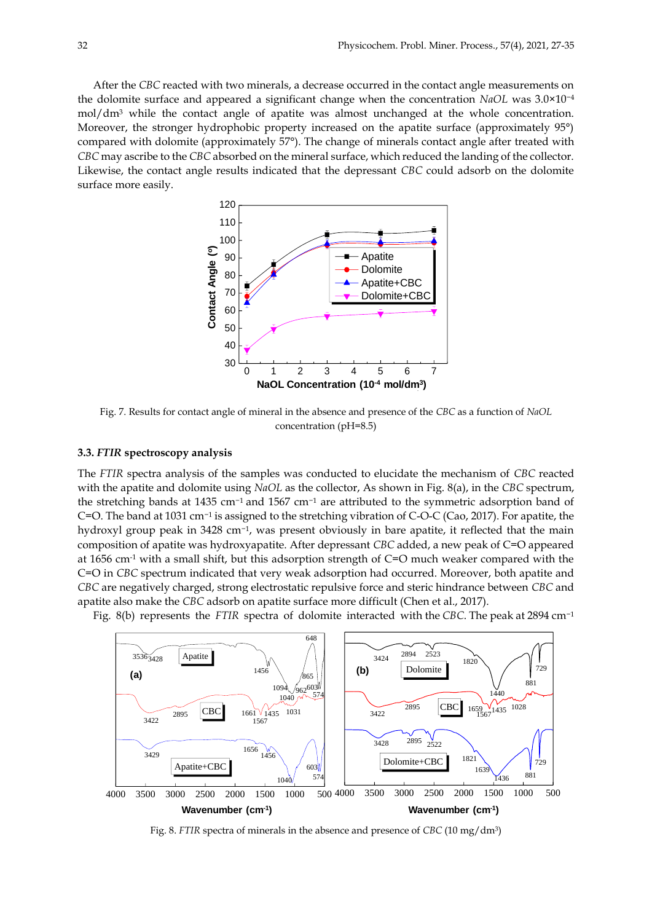After the *CBC* reacted with two minerals, a decrease occurred in the contact angle measurements on the dolomite surface and appeared a significant change when the concentration *NaOL* was 3.0×10−<sup>4</sup> mol/dm<sup>3</sup> while the contact angle of apatite was almost unchanged at the whole concentration. Moreover, the stronger hydrophobic property increased on the apatite surface (approximately 95<sup>o</sup>) compared with dolomite (approximately 57°). The change of minerals contact angle after treated with *CBC* may ascribe to the *CBC* absorbed on the mineral surface, which reduced the landing of the collector. Likewise, the contact angle results indicated that the depressant *CBC* could adsorb on the dolomite surface more easily.



Fig. 7. Results for contact angle of mineral in the absence and presence of the *CBC* as a function of *NaOL* concentration (pH=8.5)

#### **3.3.** *FTIR* **spectroscopy analysis**

The *FTIR* spectra analysis of the samples was conducted to elucidate the mechanism of *CBC* reacted with the apatite and dolomite using *NaOL* as the collector, As shown in Fig. 8(a), in the *CBC* spectrum, the stretching bands at 1435 cm−1 and 1567 cm−<sup>1</sup> are attributed to the symmetric adsorption band of C=O. The band at 1031 cm−<sup>1</sup> is assigned to the stretching vibration of C-O-C (Cao, 2017). For apatite, the hydroxyl group peak in 3428 cm<sup>-1</sup>, was present obviously in bare apatite, it reflected that the main composition of apatite was hydroxyapatite. After depressant *CBC* added, a new peak of C=O appeared at 1656 cm<sup>-1</sup> with a small shift, but this adsorption strength of  $C=O$  much weaker compared with the C=O in *CBC* spectrum indicated that very weak adsorption had occurred. Moreover, both apatite and *CBC* are negatively charged, strong electrostatic repulsive force and steric hindrance between *CBC* and apatite also make the *CBC* adsorb on apatite surface more difficult (Chen et al., 2017).

Fig. 8(b) represents the *FTIR* spectra of dolomite interacted with the *CBC*. The peak at 2894 cm−<sup>1</sup>



Fig. 8. *FTIR* spectra of minerals in the absence and presence of *CBC* (10 mg/dm3)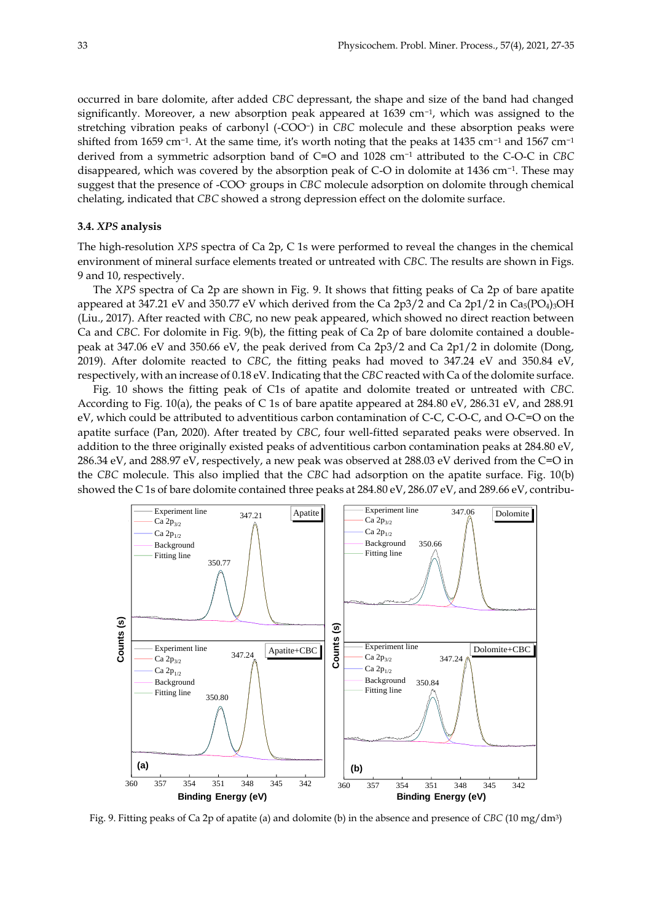occurred in bare dolomite, after added *CBC* depressant, the shape and size of the band had changed significantly. Moreover, a new absorption peak appeared at 1639 cm−<sup>1</sup> , which was assigned to the stretching vibration peaks of carbonyl (-COO−) in *CBC* molecule and these absorption peaks were shifted from 1659 cm<sup>-1</sup>. At the same time, it's worth noting that the peaks at 1435 cm<sup>-1</sup> and 1567 cm<sup>-1</sup> derived from a symmetric adsorption band of C=O and 1028 cm−<sup>1</sup> attributed to the C-O-C in *CBC* disappeared, which was covered by the absorption peak of C-O in dolomite at 1436 cm−<sup>1</sup> . These may suggest that the presence of -COO- groups in *CBC* molecule adsorption on dolomite through chemical chelating, indicated that *CBC* showed a strong depression effect on the dolomite surface.

#### **3.4.** *XPS* **analysis**

The high-resolution *XPS* spectra of Ca 2p, C 1s were performed to reveal the changes in the chemical environment of mineral surface elements treated or untreated with *CBC*. The results are shown in Figs. 9 and 10, respectively.

The *XPS* spectra of Ca 2p are shown in Fig. 9. It shows that fitting peaks of Ca 2p of bare apatite appeared at 347.21 eV and 350.77 eV which derived from the Ca  $2p3/2$  and Ca  $2p1/2$  in Ca<sub>5</sub>(PO<sub>4</sub>)<sub>3</sub>OH (Liu., 2017). After reacted with *CBC*, no new peak appeared, which showed no direct reaction between Ca and *CBC*. For dolomite in Fig. 9(b), the fitting peak of Ca 2p of bare dolomite contained a doublepeak at 347.06 eV and 350.66 eV, the peak derived from Ca 2p3/2 and Ca 2p1/2 in dolomite (Dong, 2019). After dolomite reacted to *CBC*, the fitting peaks had moved to 347.24 eV and 350.84 eV, respectively, with an increase of 0.18 eV. Indicating that the *CBC* reacted with Ca of the dolomite surface.

Fig. 10 shows the fitting peak of C1s of apatite and dolomite treated or untreated with *CBC*. According to Fig. 10(a), the peaks of C 1s of bare apatite appeared at 284.80 eV, 286.31 eV, and 288.91 eV, which could be attributed to adventitious carbon contamination of C-C, C-O-C, and O-C=O on the apatite surface (Pan, 2020). After treated by *CBC*, four well-fitted separated peaks were observed. In addition to the three originally existed peaks of adventitious carbon contamination peaks at 284.80 eV, 286.34 eV, and 288.97 eV, respectively, a new peak was observed at 288.03 eV derived from the C=O in the *CBC* molecule. This also implied that the *CBC* had adsorption on the apatite surface. Fig. 10(b) showed the C 1s of bare dolomite contained three peaks at 284.80 eV, 286.07 eV, and 289.66 eV, contribu-



Fig. 9. Fitting peaks of Ca 2p of apatite (a) and dolomite (b) in the absence and presence of *CBC* (10 mg/dm3)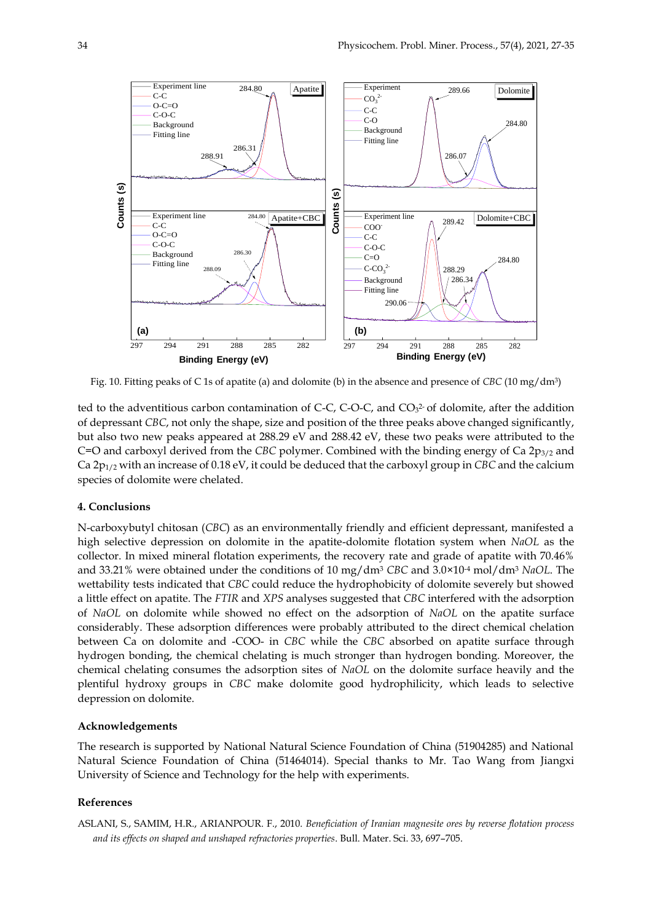

Fig. 10. Fitting peaks of C 1s of apatite (a) and dolomite (b) in the absence and presence of *CBC* (10 mg/dm3)

ted to the adventitious carbon contamination of C-C, C-O-C, and  $CO<sub>3</sub><sup>2</sup>$  of dolomite, after the addition of depressant *CBC*, not only the shape, size and position of the three peaks above changed significantly, but also two new peaks appeared at 288.29 eV and 288.42 eV, these two peaks were attributed to the C=O and carboxyl derived from the *CBC* polymer. Combined with the binding energy of Ca 2p<sub>3/2</sub> and Ca 2p1/2 with an increase of 0.18 eV, it could be deduced that the carboxyl group in *CBC* and the calcium species of dolomite were chelated.

#### **4. Conclusions**

N-carboxybutyl chitosan (*CBC*) as an environmentally friendly and efficient depressant, manifested a high selective depression on dolomite in the apatite-dolomite flotation system when *NaOL* as the collector. In mixed mineral flotation experiments, the recovery rate and grade of apatite with 70.46% and 33.21% were obtained under the conditions of 10 mg/dm<sup>3</sup> *CBC* and 3.0×10-4 mol/dm<sup>3</sup> *NaOL*. The wettability tests indicated that *CBC* could reduce the hydrophobicity of dolomite severely but showed a little effect on apatite. The *FTIR* and *XPS* analyses suggested that *CBC* interfered with the adsorption of *NaOL* on dolomite while showed no effect on the adsorption of *NaOL* on the apatite surface considerably. These adsorption differences were probably attributed to the direct chemical chelation between Ca on dolomite and -COO- in *CBC* while the *CBC* absorbed on apatite surface through hydrogen bonding, the chemical chelating is much stronger than hydrogen bonding. Moreover, the chemical chelating consumes the adsorption sites of *NaOL* on the dolomite surface heavily and the plentiful hydroxy groups in *CBC* make dolomite good hydrophilicity, which leads to selective depression on dolomite.

## **Acknowledgements**

The research is supported by National Natural Science Foundation of China (51904285) and National Natural Science Foundation of China (51464014). Special thanks to Mr. Tao Wang from Jiangxi University of Science and Technology for the help with experiments.

### **References**

ASLANI, S., SAMIM, H.R., ARIANPOUR. F., 2010. *Beneficiation of Iranian magnesite ores by reverse flotation process and its effects on shaped and unshaped refractories properties*. Bull. Mater. Sci. 33, 697–705.